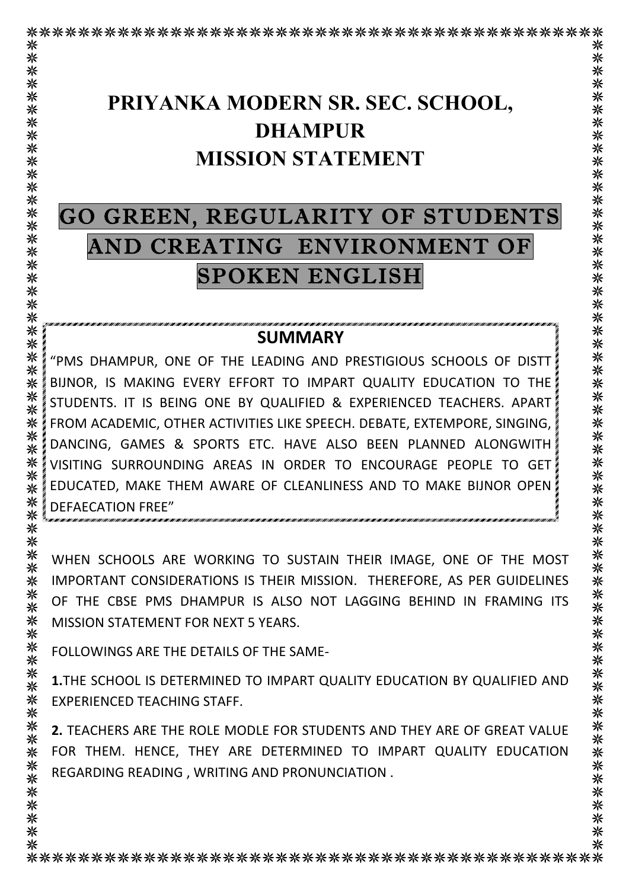# **PRIYANKA MODERN SR. SEC. SCHOOL, DHAMPUR MISSION STATEMENT**

# GO GREEN, REGULARITY OF STUDENTS AND CREATING ENVIRONMENT OF SPOKEN ENGLISH

#### **SUMMARY**

"PMS DHAMPUR, ONE OF THE LEADING AND PRESTIGIOUS SCHOOLS OF DISTT BIJNOR, IS MAKING EVERY EFFORT TO IMPART QUALITY EDUCATION TO THE STUDENTS. IT IS BEING ONE BY QUALIFIED & EXPERIENCED TEACHERS. APART FROM ACADEMIC, OTHER ACTIVITIES LIKE SPEECH. DEBATE, EXTEMPORE, SINGING, DANCING, GAMES & SPORTS ETC. HAVE ALSO BEEN PLANNED ALONGWITH VISITING SURROUNDING AREAS IN ORDER TO ENCOURAGE PEOPLE TO GET EDUCATED, MAKE THEM AWARE OF CLEANLINESS AND TO MAKE BIJNOR OPEN DEFAECATION FREE"

WHEN SCHOOLS ARE WORKING TO SUSTAIN THEIR IMAGE, ONE OF THE MOST IMPORTANT CONSIDERATIONS IS THEIR MISSION. THEREFORE, AS PER GUIDELINES OF THE CBSE PMS DHAMPUR IS ALSO NOT LAGGING BEHIND IN FRAMING ITS MISSION STATEMENT FOR NEXT 5 YEARS.

FOLLOWINGS ARE THE DETAILS OF THE SAME-

米 **1.**THE SCHOOL IS DETERMINED TO IMPART QUALITY EDUCATION BY QUALIFIED AND ⋇ 米 EXPERIENCED TEACHING STAFF. 米

⋇ **2.** TEACHERS ARE THE ROLE MODLE FOR STUDENTS AND THEY ARE OF GREAT VALUE 米 FOR THEM. HENCE, THEY ARE DETERMINED TO IMPART QUALITY EDUCATION 米 米 REGARDING READING, WRITING AND PRONUNCIATION. ⋇

米

米

⋇

⋇

米

米

米

米 米 米

米 米 米 ⋇ ⋇ ⋇ ⋇ 米

⋇ 米 ⋇

⋇ 米 米 ⋇ 米 ⋇ 米 米 ⋇

⋇ 米

⋇ ⋇

米

米 米

米 ⋇ ⋇ 米 ⋇ ⋇ 米 米 ⋇

米 ⋇ 米 米 ⋇

米 米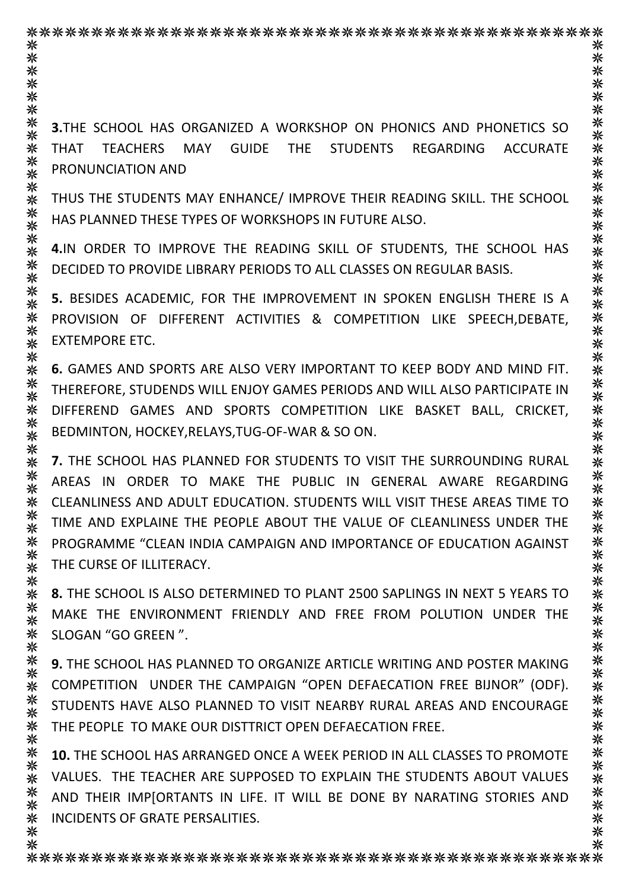⋇ 米 米 米 ⋇ 米 米 **3.**THE SCHOOL HAS ORGANIZED A WORKSHOP ON PHONICS AND PHONETICS SO 米 米 THAT TEACHERS MAY GUIDE THE STUDENTS REGARDING ACCURATE 米 PRONUNCIATION AND ⋇ ⋇ THUS THE STUDENTS MAY ENHANCE/ IMPROVE THEIR READING SKILL. THE SCHOOL ⋇ ⋇ HAS PLANNED THESE TYPES OF WORKSHOPS IN FUTURE ALSO. 米 米 **4.IN ORDER TO IMPROVE THE READING SKILL OF STUDENTS. THE SCHOOL HAS** 米 ⋇ DECIDED TO PROVIDE LIBRARY PERIODS TO ALL CLASSES ON REGULAR BASIS. 米 ⋇ **5.** BESIDES ACADEMIC, FOR THE IMPROVEMENT IN SPOKEN ENGLISH THERE IS A 米 米 PROVISION OF DIFFERENT ACTIVITIES & COMPETITION LIKE SPEECH,DEBATE, 米 **EXTEMPORE ETC.** ⋇ 米 米 **6.** GAMES AND SPORTS ARE ALSO VERY IMPORTANT TO KEEP BODY AND MIND FIT. 米 THEREFORE, STUDENDS WILL ENJOY GAMES PERIODS AND WILL ALSO PARTICIPATE IN ⋇ ⋇ DIFFEREND GAMES AND SPORTS COMPETITION LIKE BASKET BALL, CRICKET, 米 BEDMINTON, HOCKEY, RELAYS, TUG-OF-WAR & SO ON. 米 ⋇ **7.** THE SCHOOL HAS PLANNED FOR STUDENTS TO VISIT THE SURROUNDING RURAL 米 ⋇ AREAS IN ORDER TO MAKE THE PUBLIC IN GENERAL AWARE REGARDING 米 米 CLEANLINESS AND ADULT EDUCATION. STUDENTS WILL VISIT THESE AREAS TIME TO 米 TIME AND EXPLAINE THE PEOPLE ABOUT THE VALUE OF CLEANLINESS UNDER THE 米 ⋇ PROGRAMME "CLEAN INDIA CAMPAIGN AND IMPORTANCE OF EDUCATION AGAINST ⋇ THE CURSE OF ILLITERACY. 米 米 ⋇ **8.** THE SCHOOL IS ALSO DETERMINED TO PLANT 2500 SAPLINGS IN NEXT 5 YEARS TO 米 MAKE THE ENVIRONMENT FRIENDLY AND FREE FROM POLUTION UNDER THE 米 ⋇ SLOGAN "GO GREEN ". 米 ⋇ **9.** THE SCHOOL HAS PLANNED TO ORGANIZE ARTICLE WRITING AND POSTER MAKING 米 ⋇ COMPETITION UNDER THE CAMPAIGN "OPEN DEFAECATION FREE BIJNOR" (ODF). 米 STUDENTS HAVE ALSO PLANNED TO VISIT NEARBY RURAL AREAS AND ENCOURAGE 米 ⋇ THE PEOPLE TO MAKE OUR DISTTRICT OPEN DEFAECATION FREE. ⋇ ⋇ **10.** THE SCHOOL HAS ARRANGED ONCE A WEEK PERIOD IN ALL CLASSES TO PROMOTE 米 VALUES. THE TEACHER ARE SUPPOSED TO EXPLAIN THE STUDENTS ABOUT VALUES 米 米 AND THEIR IMP[ORTANTS IN LIFE. IT WILL BE DONE BY NARATING STORIES AND

INCIDENTS OF GRATE PERSALITIES.

米